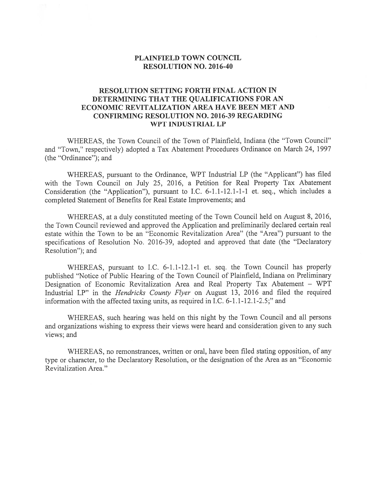## PLAINFIELD TOWN COUNCIL RESOLUTION NO. 2016-40

## RESOLUTION SETTING FORTH FINAL ACTION IN DETERMINING THAT THE QUALIFICATIONS FOR AN ECONOMIC REVITALIZATION AREA HAVE BEEN MET AND CONFIRMING RESOLUTION NO. 2016-39 REGARDING WPT INDUSTRIAL LP

WHEREAS, the Town Council of the Town of Plainfield, Indiana (the 'Town Council" and "Town," respectively) adopted <sup>a</sup> Tax Abatement Procedures Ordinance on March 24, 1997 (the "Ordinance"); and

WHEREAS, pursuan<sup>t</sup> to the Ordinance, WPT Industrial LP (the "Applicant") has filed with the Town Council on July 25, 2016, <sup>a</sup> Petition for Real Property Tax Abatement Consideration (the "Application"), pursuan<sup>t</sup> to LC. 6-1.1-12.1-1-1 et. seq., which includes <sup>a</sup> completed Statement of Benefits for Real Estate Improvements; and

WHEREAS, at <sup>a</sup> duly constituted meeting of the Town Council held on August 8, 2016, the Town Council reviewed and approved the Application and preliminarily declared certain real estate within the Town to be an "Economic Revitalization Area" (the "Area") pursuan<sup>t</sup> to the specifications of Resolution No. 2016-39, adopted and approved that date (the "Declaratory Resolution"); and

WHEREAS, pursuan<sup>t</sup> to I.C. 6-1.1-12.1-1 et. seq. the Town Council has properly published "Notice of Public Hearing of the Town Council of Plainfield, Indiana on Preliminary Designation of Economic Revitalization Area and Real Property Tax Abatement — WPT Industrial LP" in the *Hendricks County Flyer* on August 13, 2016 and filed the required information with the affected taxing units, as required in I.C.  $6-1.1-12.1-2.5$ ;" and

WHEREAS, such hearing was held on this night by the Town Council and all persons and organizations wishing to express their views were heard and consideration <sup>g</sup>iven to any such views; and

WHEREAS, no remonstrances, written or oral, have been filed stating opposition, of any type or character, to the Declaratory Resolution, or the designation of the Area as an "Economic Revitalization Area."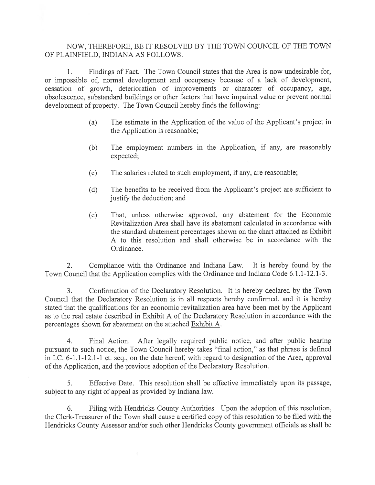## NOW, THEREFORE, BE IT RESOLVED BY THE TOWN COUNCIL OF THE TOWN OF PLAINFIELD, INDIANA AS FOLLOWS:

1. Findings of Fact. The Town Council states that the Area is now undesirable for, or impossible of, normal development and occupancy because of <sup>a</sup> lack of development, cessation of growth, deterioration of improvements or character of occupancy, age, obsolescence, substandard buildings or other factors that have impaired value or preven<sup>t</sup> normal development of property. The Town Council hereby finds the following:

- (a) The estimate in the Application of the value of the Applicant's project in the Application is reasonable;
- (b) The employment numbers in the Application, if any, are reasonably expected;
- (c) The salaries related to such employment, if any, are reasonable;
- (d) The benefits to be received from the Applicant's project are sufficient to justify the deduction; and
- (e) That, unless otherwise approved, any abatement for the Economic Revitalization Area shall have its abatement calculated in accordance with the standard abatement percentages shown on the chart attached as Exhibit A to this resolution and shall otherwise be in accordance with the Ordinance.

2. Compliance with the Ordinance and Indiana Law. It is hereby found by the Town Council that the Application complies with the Ordinance and Indiana Code 6.1.1-12.1-3.

3. Confirmation of the Declaratory Resolution. It is hereby declared by the Town Council that the Declaratory Resolution is in all respects hereby confirmed, and it is hereby stated that the qualifications for an economic revitalization area have been met by the Applicant as to the real estate described in Exhibit A of the Declaratory Resolution in accordance with the percentages shown for abatement on the attached Exhibit A.

4. Final Action. After legally required public notice, and after public hearing pursuan<sup>t</sup> to such notice, the Town Council hereby takes "final action," as that phrase is defined in I.C. 6-1.1-12.1-1 et. seq., on the date hereof, with regard to designation of the Area, approval of the Application, and the previous adoption of the Declaratory Resolution.

5. Effective Date. This resolution shall be effective immediately upon its passage, subject to any right of appeal as provided by Indiana law.

6. Filing with Hendricks County Authorities. Upon the adoption of this resolution, the Clerk-Treasurer of the Town shall cause <sup>a</sup> certified copy of this resolution to be filed with the Hendricks County Assessor and/or such other Hendricks County governmen<sup>t</sup> officials as shall be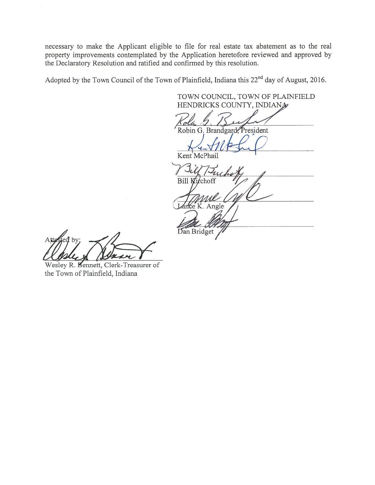necessary to make the Applicant eligible to file for real estate tax abatement as to the real property improvements contemplated by the Application heretofore reviewed and approved by the Declaratory Resolution and ratified and confirmed by this resolution.

Adopted by the Town Council of the Town of Plainfield, Indiana this 22<sup>nd</sup> day of August, 2016.

TOWN COUNCIL, TOWN OF PLAINFIELD HENDRICKS COUNTY, INDIANA Robin G. Brandgard, President  $\sqrt{euV}/U$ Kent McPhail cho Bill Kirchoff nce K. Angle In any Dan Bridget

,<br>ed by;

Wesley R. Bennett, Clerk-Treasurer of the Town of Plainfield, Indiana